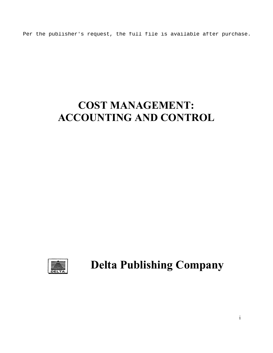Per the publisher's request, the full file is available after purchase.

# COST MANAGEMENT: ACCOUNTING AND CONTROL



Delta Publishing Company

 $\mathbf{i}$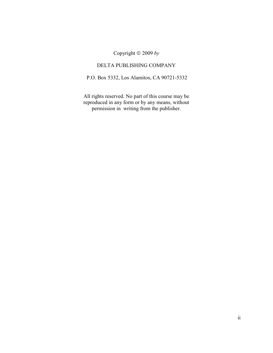Copyright  $\odot$  2009 by

# DELTA PUBLISHING COMPANY

P.O. Box 5332, Los Alamitos, CA 90721-5332

All rights reserved. No part of this course may be reproduced in any form or by any means, without permission in writing from the publisher.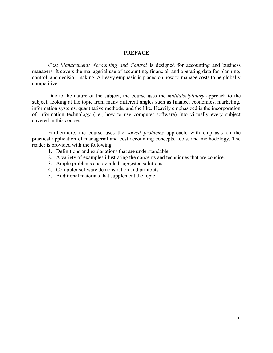#### PREFACE

 Cost Management: Accounting and Control is designed for accounting and business managers. It covers the managerial use of accounting, financial, and operating data for planning, control, and decision making. A heavy emphasis is placed on how to manage costs to be globally competitive.

Due to the nature of the subject, the course uses the *multidisciplinary* approach to the subject, looking at the topic from many different angles such as finance, economics, marketing, information systems, quantitative methods, and the like. Heavily emphasized is the incorporation of information technology (i.e., how to use computer software) into virtually every subject covered in this course.

 Furthermore, the course uses the solved problems approach, with emphasis on the practical application of managerial and cost accounting concepts, tools, and methodology. The reader is provided with the following:

- 1. Definitions and explanations that are understandable.
- 2. A variety of examples illustrating the concepts and techniques that are concise.
- 3. Ample problems and detailed suggested solutions.
- 4. Computer software demonstration and printouts.
- 5. Additional materials that supplement the topic.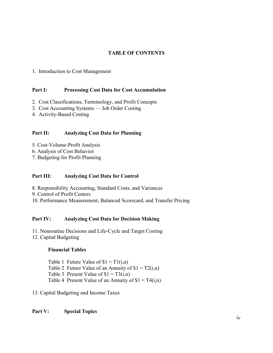# TABLE OF CONTENTS

## 1. Introduction to Cost Management

#### Part I: Processing Cost Data for Cost Accumulation

- 2. Cost Classifications, Terminology, and Profit Concepts
- 3. Cost Accounting Systems Job Order Costing
- 4. Activity-Based Costing

# Part II: Analyzing Cost Data for Planning

- 5. Cost-Volume-Profit Analysis
- 6. Analysis of Cost Behavior
- 7. Budgeting for Profit Planning

#### Part III: Analyzing Cost Data for Control

- 8. Responsibility Accounting, Standard Costs, and Variances
- 9. Control of Profit Centers
- 10. Performance Measurement, Balanced Scorecard, and Transfer Pricing

## Part IV: Analyzing Cost Data for Decision Making

- 11. Nonroutine Decisions and Life-Cycle and Target Costing
- 12. Capital Budgeting

## Financial Tables

Table 1 Future Value of  $$1 = T1(i,n)$ Table 2 Future Value of an Annuity of  $$1 = T2(i,n)$ Table 3 Present Value of  $$1 = T3(i,n)$ Table 4 Present Value of an Annuity of  $I = T4(i,n)$ 

13. Capital Budgeting and Income Taxes

Part V: Special Topics